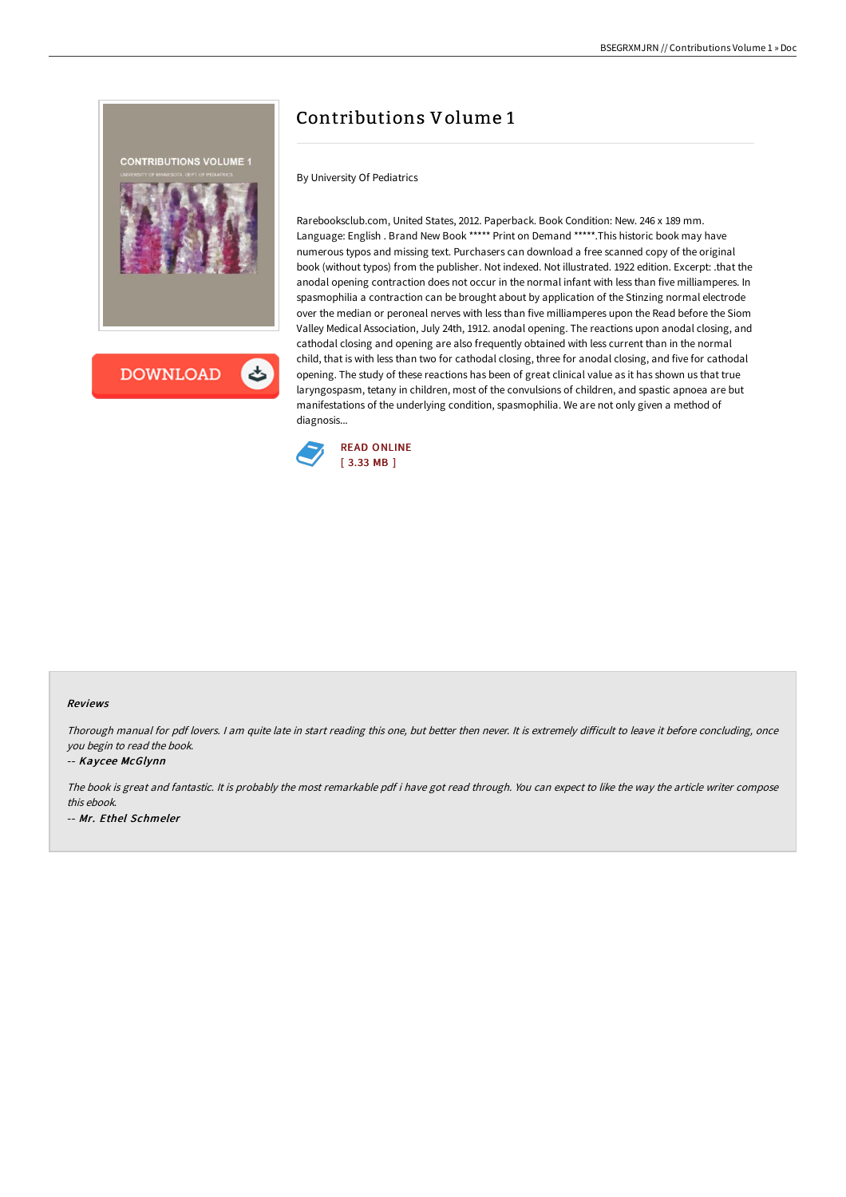

# Contributions Volume 1

By University Of Pediatrics

Rarebooksclub.com, United States, 2012. Paperback. Book Condition: New. 246 x 189 mm. Language: English . Brand New Book \*\*\*\*\* Print on Demand \*\*\*\*\*.This historic book may have numerous typos and missing text. Purchasers can download a free scanned copy of the original book (without typos) from the publisher. Not indexed. Not illustrated. 1922 edition. Excerpt: .that the anodal opening contraction does not occur in the normal infant with less than five milliamperes. In spasmophilia a contraction can be brought about by application of the Stinzing normal electrode over the median or peroneal nerves with less than five milliamperes upon the Read before the Siom Valley Medical Association, July 24th, 1912. anodal opening. The reactions upon anodal closing, and cathodal closing and opening are also frequently obtained with less current than in the normal child, that is with less than two for cathodal closing, three for anodal closing, and five for cathodal opening. The study of these reactions has been of great clinical value as it has shown us that true laryngospasm, tetany in children, most of the convulsions of children, and spastic apnoea are but manifestations of the underlying condition, spasmophilia. We are not only given a method of diagnosis...



### Reviews

Thorough manual for pdf lovers. I am quite late in start reading this one, but better then never. It is extremely difficult to leave it before concluding, once you begin to read the book.

### -- Kaycee McGlynn

The book is great and fantastic. It is probably the most remarkable pdf i have got read through. You can expect to like the way the article writer compose this ebook. -- Mr. Ethel Schmeler